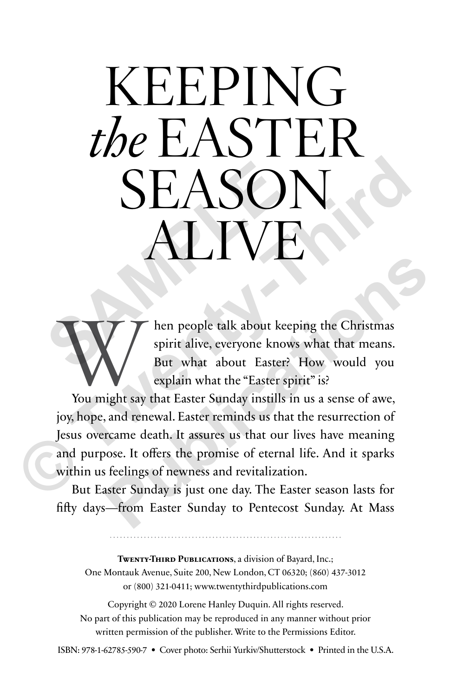# KEEPING the EASTER SEASON<br>
ALIVE<br>
W/ <sup>hen</sup> people talk about keeping the C<br>
But what about Easter? How we P TV **SEASON**<br>
MINE<br>
MENTER SONTABLE THE PROPRECISE ON THE PROPRET SPINCE THE PROPRET SPINCE THE PROPRET SPINCE THE PROPRET SPINCE THE PROPRET SPINCE THE PROPRET SPINCE THE PROPRET SPINCE THE PROPRET SPINCE THE PROPRET SPINCE T

When people talk about keeping the Christmas<br>
Spirit alive, everyone knows what that means.<br>
But what about Easter? How would you<br>
explain what the "Easter spirit" is?<br>
You might say that Easter Sunday instills in us a sen spirit alive, everyone knows what that means. But what about Easter? How would you explain what the "Easter spirit" is?

joy, hope, and renewal. Easter reminds us that the resurrection of Jesus overcame death. It assures us that our lives have meaning and purpose. It offers the promise of eternal life. And it sparks within us feelings of newness and revitalization. **Publication**<br> **Publication**<br> **Publicative, everyone knows what that means.**<br> **Publicative, everyone knows what that means.**<br> **Publicative is that about Easter?** How would you<br>
explain what the "Easter spirit" is?<br> **Public** 

But Easter Sunday is just one day. The Easter season lasts for fifty days—from Easter Sunday to Pentecost Sunday. At Mass

**TWENTY-THIRD PUBLICATIONS**, a division of Bayard, Inc.; One Montauk Avenue, Suite 200, New London, CT 06320; (860) 437-3012 or (800) 321-0411; www.twentythirdpublications.com

Copyright © 2020 Lorene Hanley Duquin. All rights reserved. No part of this publication may be reproduced in any manner without prior written permission of the publisher. Write to the Permissions Editor.

ISBN: 978-1-62785-590-7 • Cover photo: Serhii Yurkiv/Shutterstock • Printed in the U.S.A.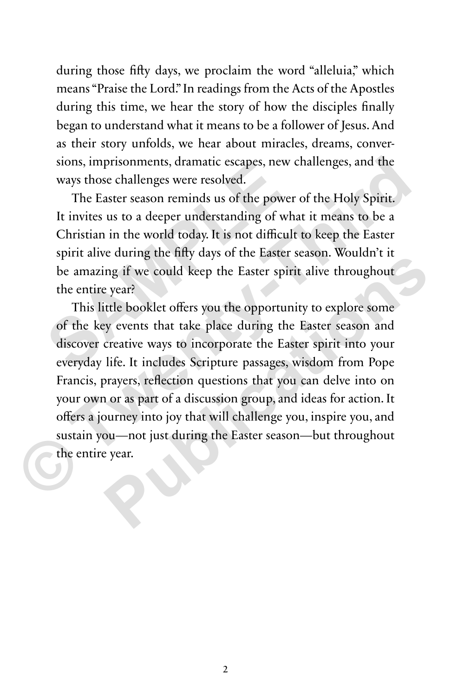during those fifty days, we proclaim the word "alleluia," which means "Praise the Lord." In readings from the Acts of the Apostles during this time, we hear the story of how the disciples finally began to understand what it means to be a follower of Jesus. And as their story unfolds, we hear about miracles, dreams, conversions, imprisonments, dramatic escapes, new challenges, and the ways those challenges were resolved.

The Easter season reminds us of the power of the Holy Spirit. It invites us to a deeper understanding of what it means to be a Christian in the world today. It is not difficult to keep the Easter spirit alive during the fifty days of the Easter season. Wouldn't it be amazing if we could keep the Easter spirit alive throughout the entire year? sions, imprisonments, aramatic escapes, new c<br>ways those challenges were resolved.<br>The Easter season reminds us of the power<br>It invites us to a deeper understanding of what<br>Christian in the world today. It is not difficult

This little booklet offers you the opportunity to explore some of the key events that take place during the Easter season and discover creative ways to incorporate the Easter spirit into your everyday life. It includes Scripture passages, wisdom from Pope Francis, prayers, reflection questions that you can delve into on your own or as part of a discussion group, and ideas for action. It offers a journey into joy that will challenge you, inspire you, and sustain you—not just during the Easter season—but throughout the entire year. sions, imprisonments, dramatic escapes, new challenges, and the ways those challenges were resolved.<br>
The Easter season reminds us of the power of the Holy Spirit.<br>
It invites us to a deeper understanding of what it means **Publication** is the Unit of the Easter scasson. Working if we could keep the Easter spirit alive throughout expert<br>title booklet offers you the opportunity to explore some<br>ey events that take place during the Easter seaso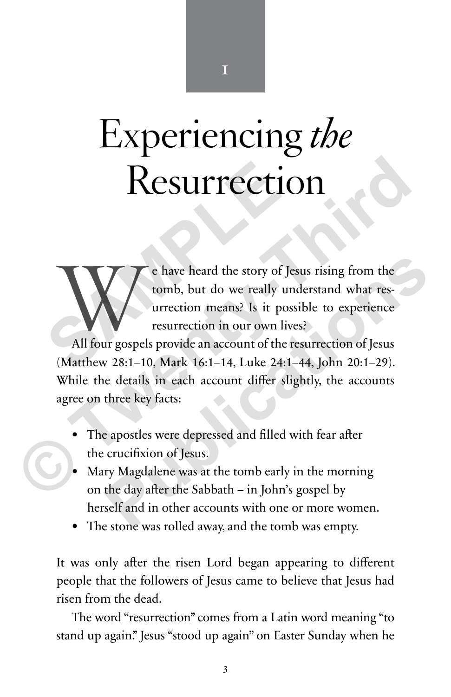# Experiencing the

**Resurrection**<br> **Resurrection**<br> **SAMPLE CONSEX (SEAMPLE A)**<br> **SAMPLE AND**<br> **SAMPLE ASSEM**<br> **CONSEX (SEAMPLE A)**<br> **CONSEX (SEAMPLE A)**<br> **CONSEX (SEAMPLE A)**<br> **CONSEX (SEAMPLE A)**<br> **CONSEX (SEAMPLE A)**<br> **CONSEX (SEAMPLE A)**<br> We have heard the story of Jesus rising from the tomb, but do we really understand what resurrection means? Is it possible to experience resurrection in our own lives?<br>All four gospels provide an account of the resurrectio tomb, but do we really understand what resurrection means? Is it possible to experience resurrection in our own lives? **Publication** Chave heard the story of Jesus rising from the<br>
tomb, but do we really understand what res-<br>
urrection means? Is it possible to experience<br>
resurrection in our own lives?<br>
v 28:1-10, Mark 16:1-14, Luke 24:1-4

(Matthew 28:1–10, Mark 16:1–14, Luke 24:1–44, John 20:1–29). While the details in each account differ slightly, the accounts agree on three key facts: **EXERTICITION**<br> **EXERTICITION**<br> **EXERTION**<br> **EXERTION**<br> **EXERTION**<br> **EXERTION**<br> **EXERTION**<br> **EXERTION**<br> **EXERTION**<br> **EXERTION**<br> **EXERTION**<br> **EXERTION**<br> **EXERTION**<br> **EXERTION**<br> **EXERTION**<br> **EXERTION**<br> **EXERTION**<br> **EXERTION** 

- The apostles were depressed and filled with fear after the crucifixion of Jesus.
- Mary Magdalene was at the tomb early in the morning on the day after the Sabbath – in John's gospel by herself and in other accounts with one or more women.
- The stone was rolled away, and the tomb was empty.

It was only after the risen Lord began appearing to different people that the followers of Jesus came to believe that Jesus had risen from the dead.

The word "resurrection" comes from a Latin word meaning "to stand up again." Jesus "stood up again" on Easter Sunday when he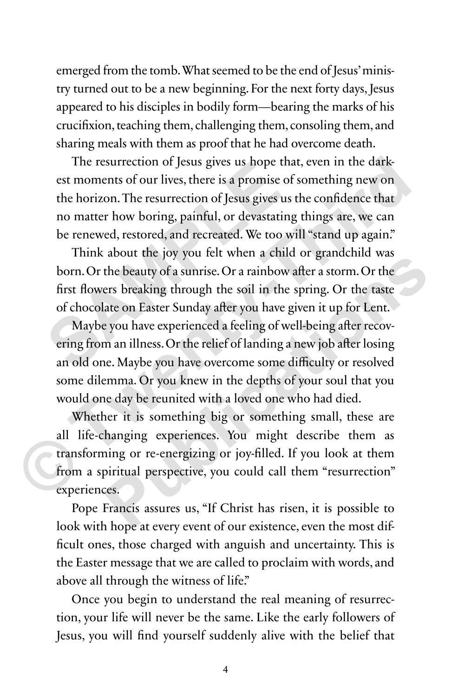emerged from the tomb. What seemed to be the end of Jesus' ministry turned out to be a new beginning. For the next forty days, Jesus appeared to his disciples in bodily form—bearing the marks of his crucifixion, teaching them, challenging them, consoling them, and sharing meals with them as proof that he had overcome death.

The resurrection of Jesus gives us hope that, even in the darkest moments of our lives, there is a promise of something new on the horizon. The resurrection of Jesus gives us the confidence that no matter how boring, painful, or devastating things are, we can be renewed, restored, and recreated. We too will "stand up again." The resurrection or Jesus gives us nope that<br>est moments of our lives, there is a promise of s<br>the horizon. The resurrection of Jesus gives us t<br>no matter how boring, painful, or devastating<br>be renewed, restored, and recre

Think about the joy you felt when a child or grandchild was born. Or the beauty of a sunrise. Or a rainbow after a storm. Or the first flowers breaking through the soil in the spring. Or the taste of chocolate on Easter Sunday after you have given it up for Lent.

Maybe you have experienced a feeling of well-being after recovering from an illness. Or the relief of landing a new job after losing an old one. Maybe you have overcome some difficulty or resolved some dilemma. Or you knew in the depths of your soul that you would one day be reunited with a loved one who had died. The resurrection of Jesus gives us hope that, even in the dark-<br>est moments of our lives, there is a promise of something new on<br>the horizon. The resurrection of Jesus gives us the confidence that<br>no matter how boring, pai about the yoy you cert when a cintu of grandenina was<br>the beauty of a sunrise. Or a rainbow after a storm. Or the<br>ers breaking through the soil in the spring. Or the taste<br>ate on Easter Sunday after you have given it up fo

Whether it is something big or something small, these are all life-changing experiences. You might describe them as transforming or re-energizing or joy-filled. If you look at them from a spiritual perspective, you could call them "resurrection" experiences.

Pope Francis assures us, "If Christ has risen, it is possible to look with hope at every event of our existence, even the most difficult ones, those charged with anguish and uncertainty. This is the Easter message that we are called to proclaim with words, and above all through the witness of life."

Once you begin to understand the real meaning of resurrection, your life will never be the same. Like the early followers of Jesus, you will find yourself suddenly alive with the belief that